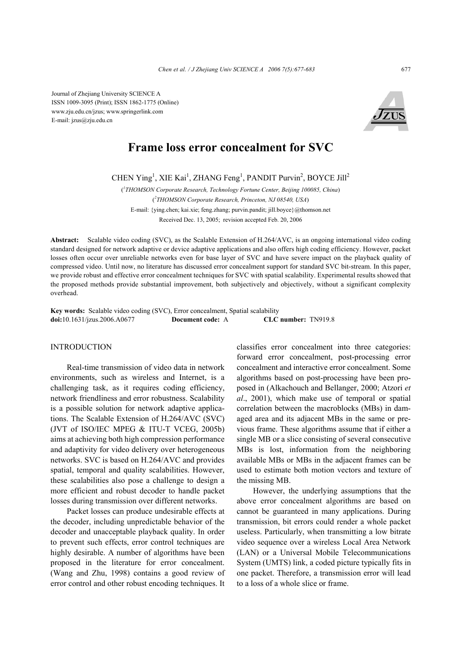Journal of Zhejiang University SCIENCE A ISSN 1009-3095 (Print); ISSN 1862-1775 (Online) www.zju.edu.cn/jzus; www.springerlink.com E-mail: jzus@zju.edu.cn



# **Frame loss error concealment for SVC**

CHEN Ying<sup>1</sup>, XIE Kai<sup>1</sup>, ZHANG Feng<sup>1</sup>, PANDIT Purvin<sup>2</sup>, BOYCE Jill<sup>2</sup>

( *1 THOMSON Corporate Research, Technology Fortune Center, Beijing 100085, China*) ( *2 THOMSON Corporate Research, Princeton, NJ 08540, USA*) E-mail: {ying.chen; kai.xie; feng.zhang; purvin.pandit; jill.boyce}@thomson.net Received Dec. 13, 2005; revision accepted Feb. 20, 2006

**Abstract:** Scalable video coding (SVC), as the Scalable Extension of H.264/AVC, is an ongoing international video coding standard designed for network adaptive or device adaptive applications and also offers high coding efficiency. However, packet losses often occur over unreliable networks even for base layer of SVC and have severe impact on the playback quality of compressed video. Until now, no literature has discussed error concealment support for standard SVC bit-stream. In this paper, we provide robust and effective error concealment techniques for SVC with spatial scalability. Experimental results showed that the proposed methods provide substantial improvement, both subjectively and objectively, without a significant complexity overhead.

**Key words:** Scalable video coding (SVC), Error concealment, Spatial scalability **doi:**10.1631/jzus.2006.A0677 **Document code:** A **CLC number:** TN919.8

## INTRODUCTION

Real-time transmission of video data in network environments, such as wireless and Internet, is a challenging task, as it requires coding efficiency, network friendliness and error robustness. Scalability is a possible solution for network adaptive applications. The Scalable Extension of H.264/AVC (SVC) (JVT of ISO/IEC MPEG & ITU-T VCEG, 2005b) aims at achieving both high compression performance and adaptivity for video delivery over heterogeneous networks. SVC is based on H.264/AVC and provides spatial, temporal and quality scalabilities. However, these scalabilities also pose a challenge to design a more efficient and robust decoder to handle packet losses during transmission over different networks.

Packet losses can produce undesirable effects at the decoder, including unpredictable behavior of the decoder and unacceptable playback quality. In order to prevent such effects, error control techniques are highly desirable. A number of algorithms have been proposed in the literature for error concealment. (Wang and Zhu, 1998) contains a good review of error control and other robust encoding techniques. It classifies error concealment into three categories: forward error concealment, post-processing error concealment and interactive error concealment. Some algorithms based on post-processing have been proposed in (Alkachouch and Bellanger, 2000; Atzori *et al*., 2001), which make use of temporal or spatial correlation between the macroblocks (MBs) in damaged area and its adjacent MBs in the same or previous frame. These algorithms assume that if either a single MB or a slice consisting of several consecutive MBs is lost, information from the neighboring available MBs or MBs in the adjacent frames can be used to estimate both motion vectors and texture of the missing MB.

However, the underlying assumptions that the above error concealment algorithms are based on cannot be guaranteed in many applications. During transmission, bit errors could render a whole packet useless. Particularly, when transmitting a low bitrate video sequence over a wireless Local Area Network (LAN) or a Universal Mobile Telecommunications System (UMTS) link, a coded picture typically fits in one packet. Therefore, a transmission error will lead to a loss of a whole slice or frame.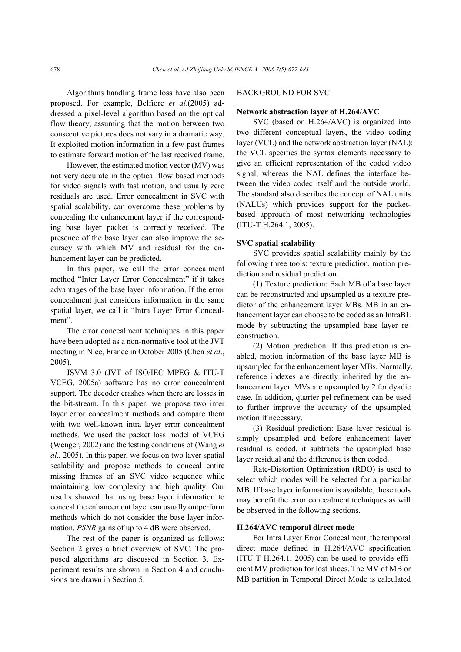Algorithms handling frame loss have also been proposed. For example, Belfiore *et al*.(2005) addressed a pixel-level algorithm based on the optical flow theory, assuming that the motion between two consecutive pictures does not vary in a dramatic way. It exploited motion information in a few past frames to estimate forward motion of the last received frame.

However, the estimated motion vector (MV) was not very accurate in the optical flow based methods for video signals with fast motion, and usually zero residuals are used. Error concealment in SVC with spatial scalability, can overcome these problems by concealing the enhancement layer if the corresponding base layer packet is correctly received. The presence of the base layer can also improve the accuracy with which MV and residual for the enhancement layer can be predicted.

In this paper, we call the error concealment method "Inter Layer Error Concealment" if it takes advantages of the base layer information. If the error concealment just considers information in the same spatial layer, we call it "Intra Layer Error Concealment".

The error concealment techniques in this paper have been adopted as a non-normative tool at the JVT meeting in Nice, France in October 2005 (Chen *et al*., 2005).

JSVM 3.0 (JVT of ISO/IEC MPEG & ITU-T VCEG, 2005a) software has no error concealment support. The decoder crashes when there are losses in the bit-stream. In this paper, we propose two inter layer error concealment methods and compare them with two well-known intra layer error concealment methods. We used the packet loss model of VCEG (Wenger, 2002) and the testing conditions of (Wang *et al*., 2005). In this paper, we focus on two layer spatial scalability and propose methods to conceal entire missing frames of an SVC video sequence while maintaining low complexity and high quality. Our results showed that using base layer information to conceal the enhancement layer can usually outperform methods which do not consider the base layer information. *PSNR* gains of up to 4 dB were observed.

The rest of the paper is organized as follows: Section 2 gives a brief overview of SVC. The proposed algorithms are discussed in Section 3. Experiment results are shown in Section 4 and conclusions are drawn in Section 5.

## BACKGROUND FOR SVC

#### **Network abstraction layer of H.264/AVC**

SVC (based on H.264/AVC) is organized into two different conceptual layers, the video coding layer (VCL) and the network abstraction layer (NAL): the VCL specifies the syntax elements necessary to give an efficient representation of the coded video signal, whereas the NAL defines the interface between the video codec itself and the outside world. The standard also describes the concept of NAL units (NALUs) which provides support for the packetbased approach of most networking technologies (ITU-T H.264.1, 2005).

#### **SVC spatial scalability**

SVC provides spatial scalability mainly by the following three tools: texture prediction, motion prediction and residual prediction.

(1) Texture prediction: Each MB of a base layer can be reconstructed and upsampled as a texture predictor of the enhancement layer MBs. MB in an enhancement layer can choose to be coded as an IntraBL mode by subtracting the upsampled base layer reconstruction.

(2) Motion prediction: If this prediction is enabled, motion information of the base layer MB is upsampled for the enhancement layer MBs. Normally, reference indexes are directly inherited by the enhancement layer. MVs are upsampled by 2 for dyadic case. In addition, quarter pel refinement can be used to further improve the accuracy of the upsampled motion if necessary.

(3) Residual prediction: Base layer residual is simply upsampled and before enhancement layer residual is coded, it subtracts the upsampled base layer residual and the difference is then coded.

Rate-Distortion Optimization (RDO) is used to select which modes will be selected for a particular MB. If base layer information is available, these tools may benefit the error concealment techniques as will be observed in the following sections.

#### **H.264/AVC temporal direct mode**

For Intra Layer Error Concealment, the temporal direct mode defined in H.264/AVC specification (ITU-T H.264.1, 2005) can be used to provide efficient MV prediction for lost slices. The MV of MB or MB partition in Temporal Direct Mode is calculated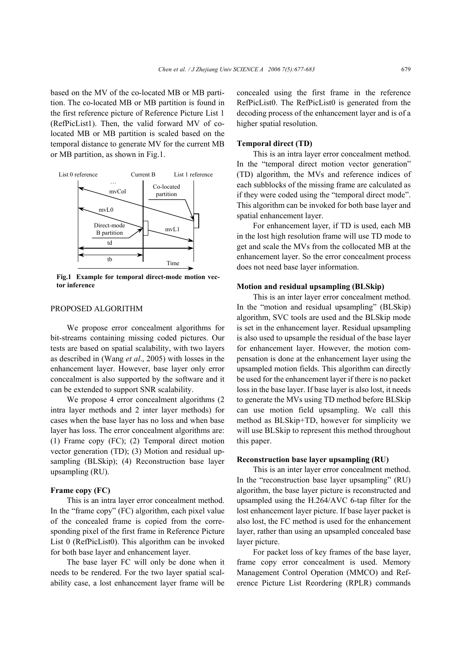based on the MV of the co-located MB or MB partition. The co-located MB or MB partition is found in the first reference picture of Reference Picture List 1 (RefPicList1). Then, the valid forward MV of colocated MB or MB partition is scaled based on the temporal distance to generate MV for the current MB or MB partition, as shown in Fig.1.



**Fig.1 Example for temporal direct-mode motion vector inference** 

## PROPOSED ALGORITHM

We propose error concealment algorithms for bit-streams containing missing coded pictures. Our tests are based on spatial scalability, with two layers as described in (Wang *et al*., 2005) with losses in the enhancement layer. However, base layer only error concealment is also supported by the software and it can be extended to support SNR scalability.

We propose 4 error concealment algorithms (2 intra layer methods and 2 inter layer methods) for cases when the base layer has no loss and when base layer has loss. The error concealment algorithms are: (1) Frame copy (FC); (2) Temporal direct motion vector generation (TD); (3) Motion and residual upsampling (BLSkip); (4) Reconstruction base layer upsampling (RU).

#### **Frame copy (FC)**

This is an intra layer error concealment method. In the "frame copy" (FC) algorithm, each pixel value of the concealed frame is copied from the corresponding pixel of the first frame in Reference Picture List 0 (RefPicList0). This algorithm can be invoked for both base layer and enhancement layer.

The base layer FC will only be done when it needs to be rendered. For the two layer spatial scalability case, a lost enhancement layer frame will be

concealed using the first frame in the reference RefPicList0. The RefPicList0 is generated from the decoding process of the enhancement layer and is of a higher spatial resolution.

#### **Temporal direct (TD)**

This is an intra layer error concealment method. In the "temporal direct motion vector generation" (TD) algorithm, the MVs and reference indices of each subblocks of the missing frame are calculated as if they were coded using the "temporal direct mode". This algorithm can be invoked for both base layer and spatial enhancement layer.

For enhancement layer, if TD is used, each MB in the lost high resolution frame will use TD mode to get and scale the MVs from the collocated MB at the enhancement layer. So the error concealment process does not need base layer information.

#### **Motion and residual upsampling (BLSkip)**

This is an inter layer error concealment method. In the "motion and residual upsampling" (BLSkip) algorithm, SVC tools are used and the BLSkip mode is set in the enhancement layer. Residual upsampling is also used to upsample the residual of the base layer for enhancement layer. However, the motion compensation is done at the enhancement layer using the upsampled motion fields. This algorithm can directly be used for the enhancement layer if there is no packet loss in the base layer. If base layer is also lost, it needs to generate the MVs using TD method before BLSkip can use motion field upsampling. We call this method as BLSkip+TD, however for simplicity we will use BLSkip to represent this method throughout this paper.

#### **Reconstruction base layer upsampling (RU)**

This is an inter layer error concealment method. In the "reconstruction base layer upsampling" (RU) algorithm, the base layer picture is reconstructed and upsampled using the H.264/AVC 6-tap filter for the lost enhancement layer picture. If base layer packet is also lost, the FC method is used for the enhancement layer, rather than using an upsampled concealed base layer picture.

For packet loss of key frames of the base layer, frame copy error concealment is used. Memory Management Control Operation (MMCO) and Reference Picture List Reordering (RPLR) commands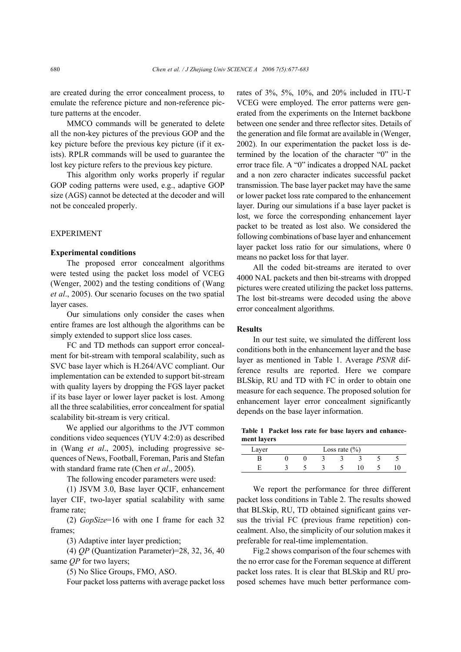are created during the error concealment process, to emulate the reference picture and non-reference picture patterns at the encoder.

MMCO commands will be generated to delete all the non-key pictures of the previous GOP and the key picture before the previous key picture (if it exists). RPLR commands will be used to guarantee the lost key picture refers to the previous key picture.

This algorithm only works properly if regular GOP coding patterns were used, e.g., adaptive GOP size (AGS) cannot be detected at the decoder and will not be concealed properly.

### EXPERIMENT

## **Experimental conditions**

The proposed error concealment algorithms were tested using the packet loss model of VCEG (Wenger, 2002) and the testing conditions of (Wang *et al*., 2005). Our scenario focuses on the two spatial layer cases.

Our simulations only consider the cases when entire frames are lost although the algorithms can be simply extended to support slice loss cases.

FC and TD methods can support error concealment for bit-stream with temporal scalability, such as SVC base layer which is H.264/AVC compliant. Our implementation can be extended to support bit-stream with quality layers by dropping the FGS layer packet if its base layer or lower layer packet is lost. Among all the three scalabilities, error concealment for spatial scalability bit-stream is very critical.

We applied our algorithms to the JVT common conditions video sequences (YUV 4:2:0) as described in (Wang *et al*., 2005), including progressive sequences of News, Football, Foreman, Paris and Stefan with standard frame rate (Chen *et al*., 2005).

The following encoder parameters were used:

(1) JSVM 3.0, Base layer QCIF, enhancement layer CIF, two-layer spatial scalability with same frame rate;

(2) *GopSize*=16 with one I frame for each 32 frames;

(3) Adaptive inter layer prediction;

(4) *QP* (Quantization Parameter)=28, 32, 36, 40 same *QP* for two layers;

(5) No Slice Groups, FMO, ASO.

Four packet loss patterns with average packet loss

rates of 3%, 5%, 10%, and 20% included in ITU-T VCEG were employed. The error patterns were generated from the experiments on the Internet backbone between one sender and three reflector sites. Details of the generation and file format are available in (Wenger, 2002). In our experimentation the packet loss is determined by the location of the character "0" in the error trace file. A "0" indicates a dropped NAL packet and a non zero character indicates successful packet transmission. The base layer packet may have the same or lower packet loss rate compared to the enhancement layer. During our simulations if a base layer packet is lost, we force the corresponding enhancement layer packet to be treated as lost also. We considered the following combinations of base layer and enhancement layer packet loss ratio for our simulations, where 0 means no packet loss for that layer.

All the coded bit-streams are iterated to over 4000 NAL packets and then bit-streams with dropped pictures were created utilizing the packet loss patterns. The lost bit-streams were decoded using the above error concealment algorithms.

#### **Results**

In our test suite, we simulated the different loss conditions both in the enhancement layer and the base layer as mentioned in Table 1. Average *PSNR* difference results are reported. Here we compare BLSkip, RU and TD with FC in order to obtain one measure for each sequence. The proposed solution for enhancement layer error concealment significantly depends on the base layer information.

**Table 1 Packet loss rate for base layers and enhancement layers** 

| Layer | Loss rate $(\% )$ |  |  |  |  |  |  |  |  |  |
|-------|-------------------|--|--|--|--|--|--|--|--|--|
|       |                   |  |  |  |  |  |  |  |  |  |
|       |                   |  |  |  |  |  |  |  |  |  |

We report the performance for three different packet loss conditions in Table 2. The results showed that BLSkip, RU, TD obtained significant gains versus the trivial FC (previous frame repetition) concealment. Also, the simplicity of our solution makes it preferable for real-time implementation.

Fig.2 shows comparison of the four schemes with the no error case for the Foreman sequence at different packet loss rates. It is clear that BLSkip and RU proposed schemes have much better performance com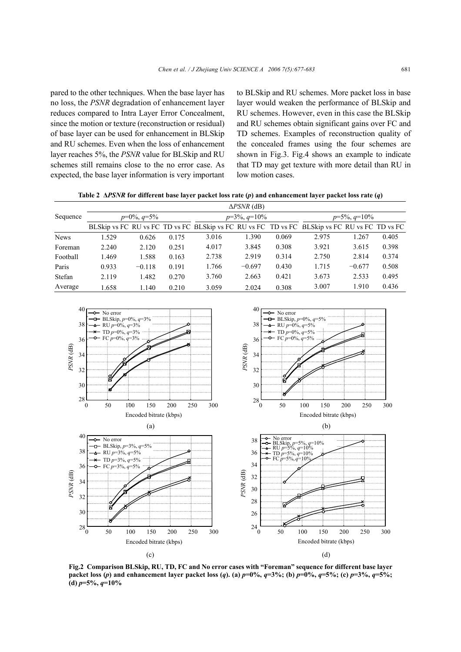pared to the other techniques. When the base layer has no loss, the *PSNR* degradation of enhancement layer reduces compared to Intra Layer Error Concealment, since the motion or texture (reconstruction or residual) of base layer can be used for enhancement in BLSkip and RU schemes. Even when the loss of enhancement layer reaches 5%, the *PSNR* value for BLSkip and RU schemes still remains close to the no error case. As expected, the base layer information is very important to BLSkip and RU schemes. More packet loss in base layer would weaken the performance of BLSkip and RU schemes. However, even in this case the BLSkip and RU schemes obtain significant gains over FC and TD schemes. Examples of reconstruction quality of the concealed frames using the four schemes are shown in Fig.3. Fig.4 shows an example to indicate that TD may get texture with more detail than RU in low motion cases.

**Table 2 ∆***PSNR* **for different base layer packet loss rate (***p***) and enhancement layer packet loss rate (***q***)** 

|             | $\triangle PSNR$ (dB) |          |       |       |                    |       |                                                                                              |          |       |  |  |
|-------------|-----------------------|----------|-------|-------|--------------------|-------|----------------------------------------------------------------------------------------------|----------|-------|--|--|
| Sequence    | $p=0\%, q=5\%$        |          |       |       | $p=3\%$ , $q=10\%$ |       | $p=5\%, q=10\%$                                                                              |          |       |  |  |
|             |                       |          |       |       |                    |       | BLSkip vs FC RU vs FC TD vs FC BLSkip vs FC RU vs FC TD vs FC BLSkip vs FC RU vs FC TD vs FC |          |       |  |  |
| <b>News</b> | .529                  | 0.626    | 0.175 | 3.016 | 1.390              | 0.069 | 2.975                                                                                        | 1.267    | 0.405 |  |  |
| Foreman     | 2.240                 | 2.120    | 0.251 | 4.017 | 3.845              | 0.308 | 3.921                                                                                        | 3.615    | 0.398 |  |  |
| Football    | 1.469                 | 1.588    | 0.163 | 2.738 | 2.919              | 0.314 | 2.750                                                                                        | 2.814    | 0.374 |  |  |
| Paris       | 0.933                 | $-0.118$ | 0.191 | 1.766 | $-0.697$           | 0.430 | 1.715                                                                                        | $-0.677$ | 0.508 |  |  |
| Stefan      | 2.119                 | 1.482    | 0.270 | 3.760 | 2.663              | 0.421 | 3.673                                                                                        | 2.533    | 0.495 |  |  |
| Average     | 1.658                 | 1.140    | 0.210 | 3.059 | 2.024              | 0.308 | 3.007                                                                                        | 1.910    | 0.436 |  |  |



**Fig.2 Comparison BLSkip, RU, TD, FC and No error cases with "Foreman" sequence for different base layer packet loss (***p***) and enhancement layer packet loss (***q***). (a)**  $p=0\%$ **,**  $q=3\%$ **; (b)**  $p=0\%$ **,**  $q=5\%$ **; (c)**  $p=3\%$ **,**  $q=5\%$ **; (d)** *p***=5%,** *q***=10%**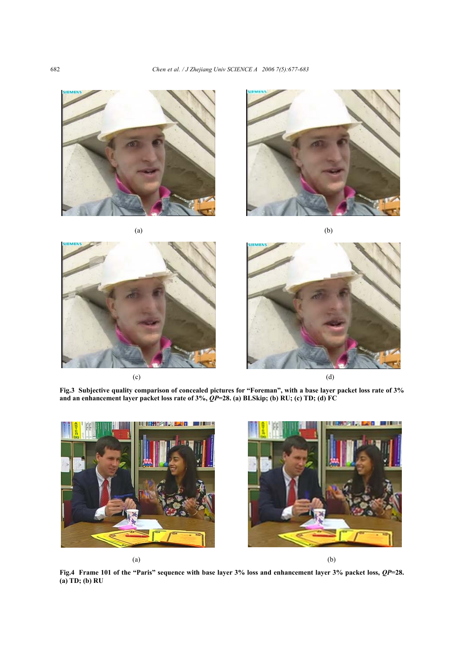











**Fig.3 Subjective quality comparison of concealed pictures for "Foreman", with a base layer packet loss rate of 3% and an enhancement layer packet loss rate of 3%,** *QP***=28. (a) BLSkip; (b) RU; (c) TD; (d) FC**



Fig.4 Frame 101 of the "Paris" sequence with base layer 3% loss and enhancement layer 3% packet loss,  $QP=28$ . **(a) TD; (b) RU**